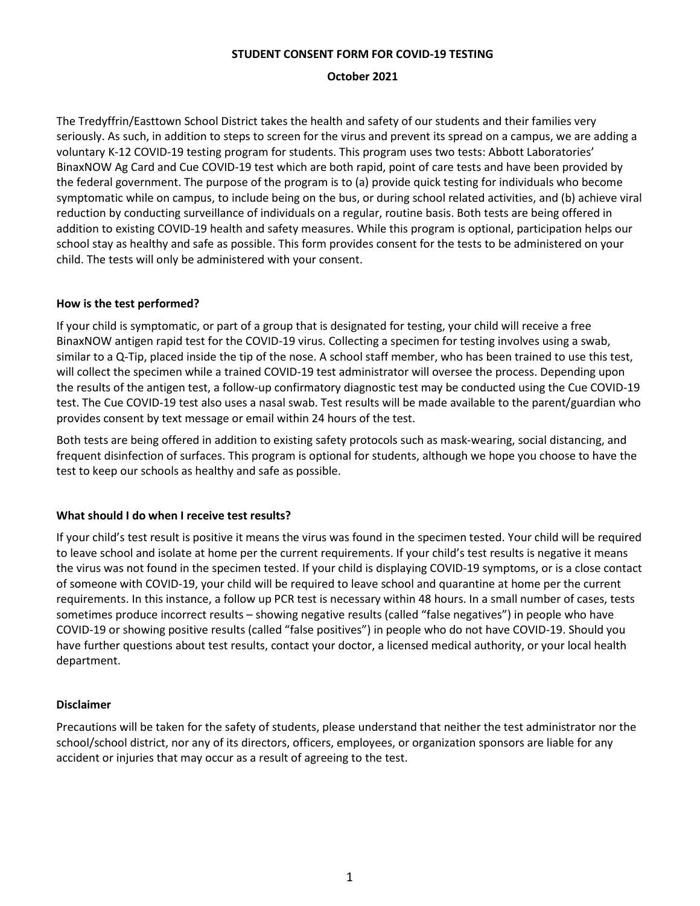#### **STUDENT CONSENT FORM FOR COVID-19 TESTING**

#### **October 2021**

The Tredyffrin/Easttown School District takes the health and safety of our students and their families very seriously. As such, in addition to steps to screen for the virus and prevent its spread on a campus, we are adding a voluntary K-12 COVID-19 testing program for students. This program uses two tests: Abbott Laboratories' BinaxNOW Ag Card and Cue COVID-19 test which are both rapid, point of care tests and have been provided by the federal government. The purpose of the program is to (a) provide quick testing for individuals who become symptomatic while on campus, to include being on the bus, or during school related activities, and (b) achieve viral reduction by conducting surveillance of individuals on a regular, routine basis. Both tests are being offered in addition to existing COVID-19 health and safety measures. While this program is optional, participation helps our school stay as healthy and safe as possible. This form provides consent for the tests to be administered on your child. The tests will only be administered with your consent.

## **How is the test performed?**

If your child is symptomatic, or part of a group that is designated for testing, your child will receive a free BinaxNOW antigen rapid test for the COVID-19 virus. Collecting a specimen for testing involves using a swab, similar to a Q-Tip, placed inside the tip of the nose. A school staff member, who has been trained to use this test, will collect the specimen while a trained COVID-19 test administrator will oversee the process. Depending upon the results of the antigen test, a follow-up confirmatory diagnostic test may be conducted using the Cue COVID-19 test. The Cue COVID-19 test also uses a nasal swab. Test results will be made available to the parent/guardian who provides consent by text message or email within 24 hours of the test.

Both tests are being offered in addition to existing safety protocols such as mask-wearing, social distancing, and frequent disinfection of surfaces. This program is optional for students, although we hope you choose to have the test to keep our schools as healthy and safe as possible.

## **What should I do when I receive test results?**

If your child's test result is positive it means the virus was found in the specimen tested. Your child will be required to leave school and isolate at home per the current requirements. If your child's test results is negative it means the virus was not found in the specimen tested. If your child is displaying COVID-19 symptoms, or is a close contact of someone with COVID-19, your child will be required to leave school and quarantine at home per the current requirements. In this instance, a follow up PCR test is necessary within 48 hours. In a small number of cases, tests sometimes produce incorrect results – showing negative results (called "false negatives") in people who have COVID-19 or showing positive results (called "false positives") in people who do not have COVID-19. Should you have further questions about test results, contact your doctor, a licensed medical authority, or your local health department.

## **Disclaimer**

Precautions will be taken for the safety of students, please understand that neither the test administrator nor the school/school district, nor any of its directors, officers, employees, or organization sponsors are liable for any accident or injuries that may occur as a result of agreeing to the test.